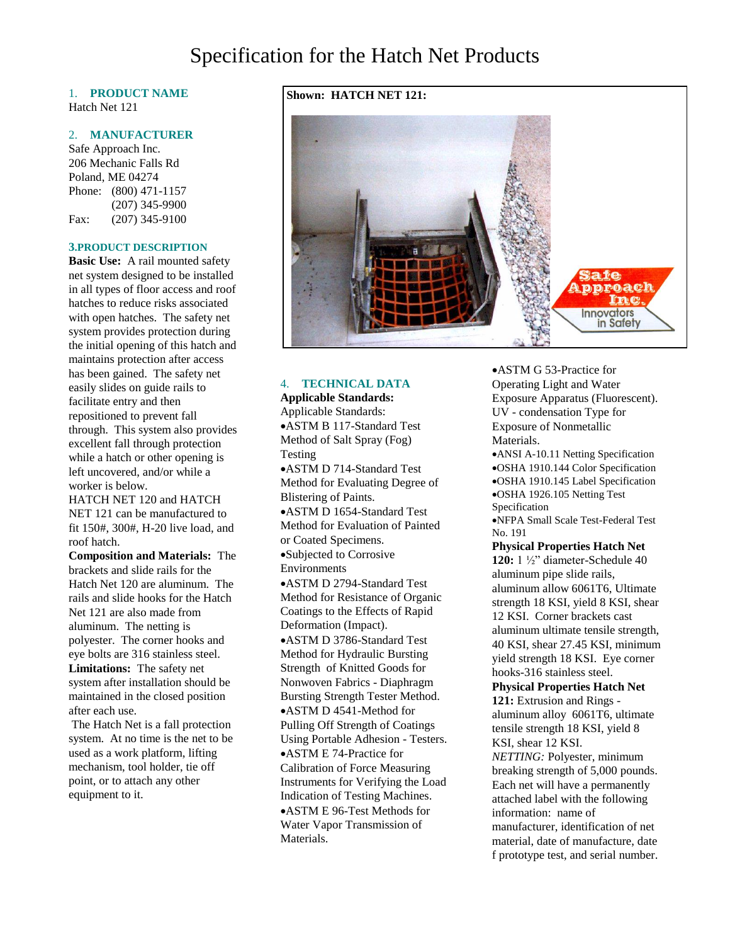# Specification for the Hatch Net Products

# 1. **PRODUCT NAME** Hatch Net 121

### 2. **MANUFACTURER**

Safe Approach Inc. 206 Mechanic Falls Rd Poland, ME 04274 Phone: (800) 471-1157 (207) 345-9900 Fax: (207) 345-9100

#### **3.PRODUCT DESCRIPTION**

**Basic Use:** A rail mounted safety net system designed to be installed in all types of floor access and roof hatches to reduce risks associated with open hatches. The safety net system provides protection during the initial opening of this hatch and maintains protection after access has been gained. The safety net easily slides on guide rails to facilitate entry and then repositioned to prevent fall through. This system also provides excellent fall through protection while a hatch or other opening is left uncovered, and/or while a worker is below.

HATCH NET 120 and HATCH NET 121 can be manufactured to fit 150#, 300#, H-20 live load, and roof hatch.

**Composition and Materials:** The brackets and slide rails for the Hatch Net 120 are aluminum. The rails and slide hooks for the Hatch Net 121 are also made from aluminum. The netting is polyester. The corner hooks and eye bolts are 316 stainless steel. **Limitations:** The safety net system after installation should be maintained in the closed position after each use.

The Hatch Net is a fall protection system. At no time is the net to be used as a work platform, lifting mechanism, tool holder, tie off point, or to attach any other equipment to it.

# **Shown: HATCH NET 121:**



## 4. **TECHNICAL DATA**

**Applicable Standards:** Applicable Standards: ASTM B 117-Standard Test Method of Salt Spray (Fog) Testing ASTM D 714-Standard Test Method for Evaluating Degree of Blistering of Paints. ASTM D 1654-Standard Test Method for Evaluation of Painted or Coated Specimens. Subjected to Corrosive Environments ASTM D 2794-Standard Test Method for Resistance of Organic Coatings to the Effects of Rapid Deformation (Impact). ASTM D 3786-Standard Test Method for Hydraulic Bursting Strength of Knitted Goods for Nonwoven Fabrics - Diaphragm Bursting Strength Tester Method. ASTM D 4541-Method for Pulling Off Strength of Coatings Using Portable Adhesion - Testers. ASTM E 74-Practice for Calibration of Force Measuring Instruments for Verifying the Load Indication of Testing Machines. ASTM E 96-Test Methods for Water Vapor Transmission of Materials.

ASTM G 53-Practice for Operating Light and Water Exposure Apparatus (Fluorescent). UV - condensation Type for Exposure of Nonmetallic Materials.

ANSI A-10.11 Netting Specification OSHA 1910.144 Color Specification OSHA 1910.145 Label Specification OSHA 1926.105 Netting Test Specification

NFPA Small Scale Test-Federal Test No. 191

**Physical Properties Hatch Net 120:** 1 ½" diameter-Schedule 40 aluminum pipe slide rails, aluminum allow 6061T6, Ultimate strength 18 KSI, yield 8 KSI, shear 12 KSI. Corner brackets cast aluminum ultimate tensile strength, 40 KSI, shear 27.45 KSI, minimum yield strength 18 KSI. Eye corner hooks-316 stainless steel.

**Physical Properties Hatch Net 121:** Extrusion and Rings aluminum alloy 6061T6, ultimate tensile strength 18 KSI, yield 8 KSI, shear 12 KSI. *NETTING:* Polyester, minimum breaking strength of 5,000 pounds. Each net will have a permanently attached label with the following information: name of

manufacturer, identification of net material, date of manufacture, date f prototype test, and serial number.